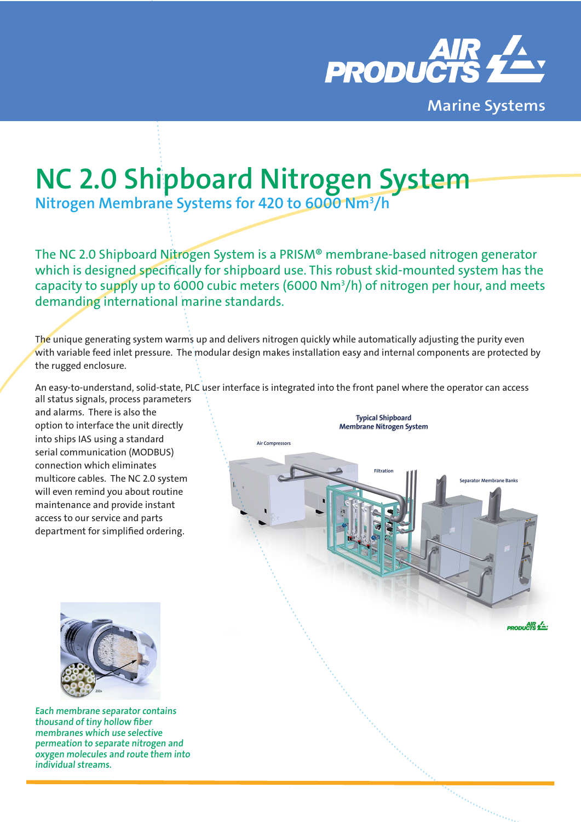

# **NC 2.0 Shipboard Nitrogen System**

**Nitrogen Membrane Systems for 420 to 6000 Nm3 /h**

The NC 2.0 Shipboard Nitrogen System is a PRISM® membrane-based nitrogen generator which is designed specifically for shipboard use. This robust skid-mounted system has the capacity to supply up to 6000 cubic meters (6000 Nm3 /h) of nitrogen per hour, and meets demanding international marine standards.

The unique generating system warms up and delivers nitrogen quickly while automatically adjusting the purity even with variable feed inlet pressure. The modular design makes installation easy and internal components are protected by the rugged enclosure.

An easy-to-understand, solid-state, PLC user interface is integrated into the front panel where the operator can access

all status signals, process parameters and alarms. There is also the option to interface the unit directly into ships IAS using a standard serial communication (MODBUS) connection which eliminates multicore cables. The NC 2.0 system will even remind you about routine maintenance and provide instant access to our service and parts department for simplified ordering.





**Each membrane separator contains thousand of tiny hollow fiber membranes which use selective permeation to separate nitrogen and oxygen molecules and route them into individual streams.**